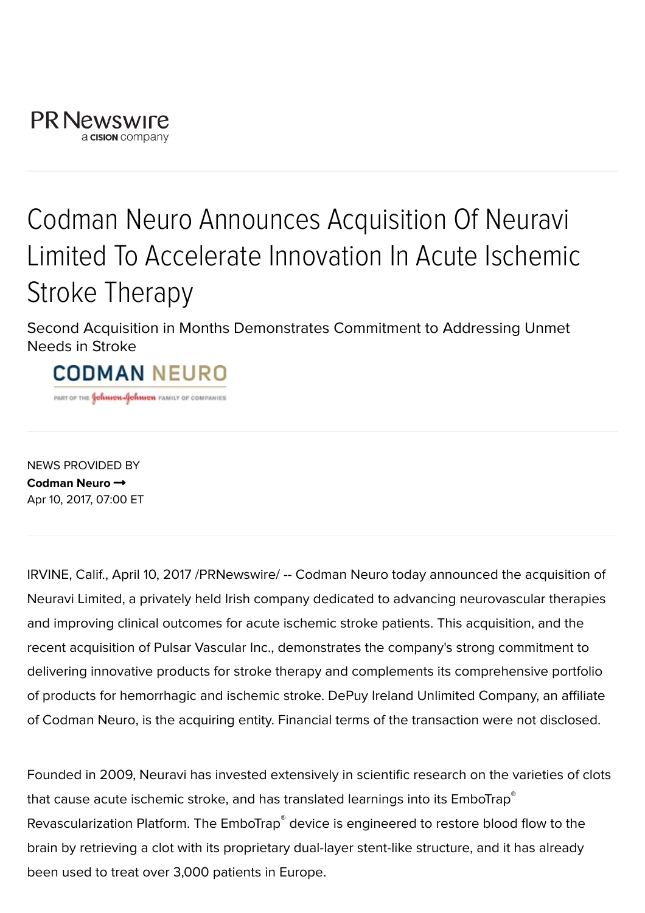

## Codman Neuro Announces Acquisition Of Neuravi Limited To Accelerate Innovation In Acute Ischemic Stroke Therapy

Second Acquisition in Months Demonstrates Commitment to Addressing Unmet Needs in Stroke

## **CODMAN NEURO**

PART OF THE **Gonnon-Gonnon** FAMILY OF COMPANIES

NEWS PROVIDED BY [Codman](http://www.prnewswire.com/news/codman-neuro) Neuro → Apr 10, 2017, 07:00 ET

IRVINE, Calif., April 10, 2017 /PRNewswire/ -- Codman Neuro today announced the acquisition of Neuravi Limited, a privately held Irish company dedicated to advancing neurovascular therapies and improving clinical outcomes for acute ischemic stroke patients. This acquisition, and the recent acquisition of Pulsar Vascular Inc., demonstrates the company's strong commitment to delivering innovative products for stroke therapy and complements its comprehensive portfolio of products for hemorrhagic and ischemic stroke. DePuy Ireland Unlimited Company, an affiliate of Codman Neuro, is the acquiring entity. Financial terms of the transaction were not disclosed.

Founded in 2009, Neuravi has invested extensively in scientific research on the varieties of clots that cause acute ischemic stroke, and has translated learnings into its  $\mathsf{EmboTrap}^\mathsf{\circ}$ Revascularization Platform. The EmboTrap® device is engineered to restore blood flow to the brain by retrieving a clot with its proprietary dual-layer stent-like structure, and it has already been used to treat over 3,000 patients in Europe.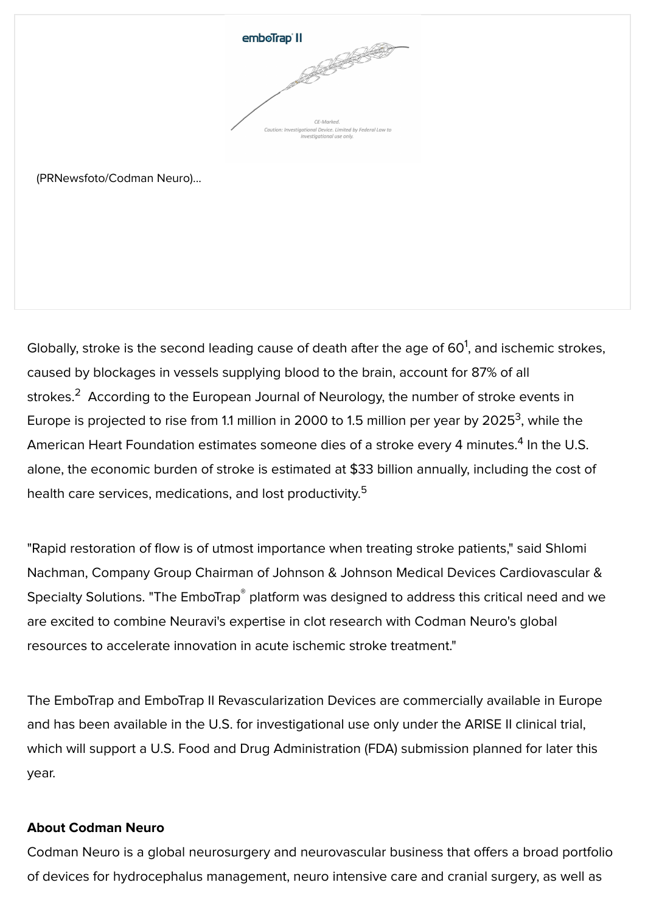

(PRNewsfoto/Codman Neuro)...

Globally, stroke is the second leading cause of death after the age of  $60^1$ , and ischemic strokes, caused by blockages in vessels supplying blood to the brain, account for 87% of all strokes. $^2$  According to the European Journal of Neurology, the number of stroke events in Europe is projected to rise from 1.1 million in 2000 to 1.5 million per year by 2025<sup>3</sup>, while the American Heart Foundation estimates someone dies of a stroke every 4 minutes. $^4$  In the U.S. alone, the economic burden of stroke is estimated at \$33 billion annually, including the cost of health care services, medications, and lost productivity.<sup>5</sup>

"Rapid restoration of flow is of utmost importance when treating stroke patients," said Shlomi Nachman, Company Group Chairman of Johnson & Johnson Medical Devices Cardiovascular & Specialty Solutions. "The EmboTrap<sup>®</sup> platform was designed to address this critical need and we are excited to combine Neuravi's expertise in clot research with Codman Neuro's global resources to accelerate innovation in acute ischemic stroke treatment."

The EmboTrap and EmboTrap II Revascularization Devices are commercially available in Europe and has been available in the U.S. for investigational use only under the ARISE II clinical trial, which will support a U.S. Food and Drug Administration (FDA) submission planned for later this year.

## About Codman Neuro

Codman Neuro is a global neurosurgery and neurovascular business that offers a broad portfolio of devices for hydrocephalus management, neuro intensive care and cranial surgery, as well as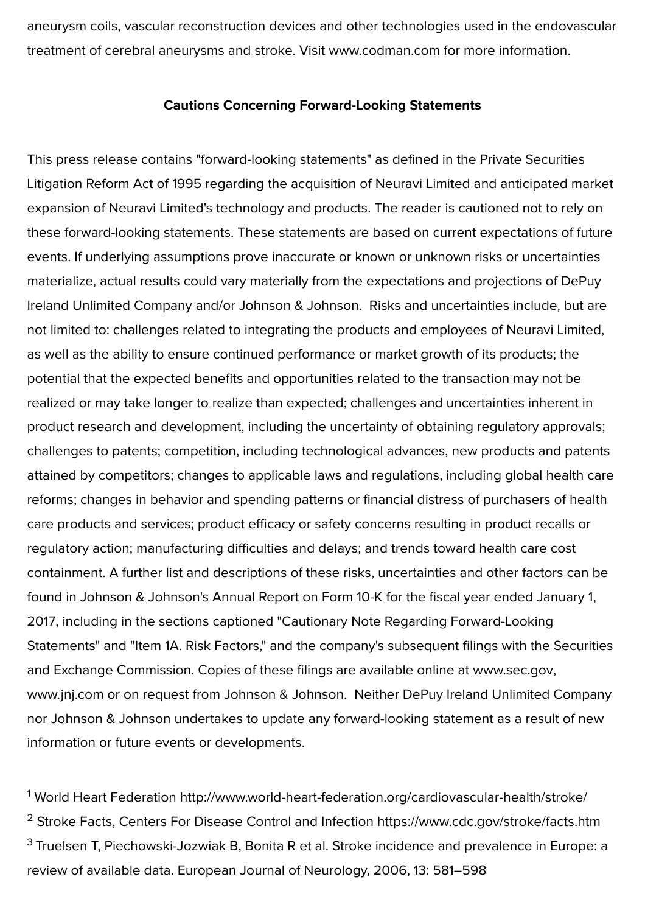aneurysm coils, vascular reconstruction devices and other technologies used in the endovascular treatment of cerebral aneurysms and stroke. Visit [www.codman.com](http://www.codman.com/) for more information.

## Cautions Concerning Forward-Looking Statements

This press release contains "forward-looking statements" as defined in the Private Securities Litigation Reform Act of 1995 regarding the acquisition of Neuravi Limited and anticipated market expansion of Neuravi Limited's technology and products. The reader is cautioned not to rely on these forward-looking statements. These statements are based on current expectations of future events. If underlying assumptions prove inaccurate or known or unknown risks or uncertainties materialize, actual results could vary materially from the expectations and projections of DePuy Ireland Unlimited Company and/or Johnson & Johnson. Risks and uncertainties include, but are not limited to: challenges related to integrating the products and employees of Neuravi Limited, as well as the ability to ensure continued performance or market growth of its products; the potential that the expected benefits and opportunities related to the transaction may not be realized or may take longer to realize than expected; challenges and uncertainties inherent in product research and development, including the uncertainty of obtaining regulatory approvals; challenges to patents; competition, including technological advances, new products and patents attained by competitors; changes to applicable laws and regulations, including global health care reforms; changes in behavior and spending patterns or financial distress of purchasers of health care products and services; product efficacy or safety concerns resulting in product recalls or regulatory action; manufacturing difficulties and delays; and trends toward health care cost containment. A further list and descriptions of these risks, uncertainties and other factors can be found in Johnson & Johnson's Annual Report on Form 10-K for the fiscal year ended January 1, 2017, including in the sections captioned "Cautionary Note Regarding Forward-Looking Statements" and "Item 1A. Risk Factors," and the company's subsequent filings with the Securities and Exchange Commission. Copies of these filings are available online at [www.sec.gov,](http://www.sec.gov/) [www.jnj.com](http://www.jnj.com/) or on request from Johnson & Johnson. Neither DePuy Ireland Unlimited Company nor Johnson & Johnson undertakes to update any forward-looking statement as a result of new information or future events or developments.

<sup>1</sup> World Heart Federation <http://www.world-heart-federation.org/cardiovascular-health/stroke/> <sup>2</sup> Stroke Facts, Centers For Disease Control and Infection <https://www.cdc.gov/stroke/facts.htm>  $^3$  Truelsen T, Piechowski-Jozwiak B, Bonita R et al. Stroke incidence and prevalence in Europe: a review of available data. European Journal of Neurology, 2006, 13: 581–598